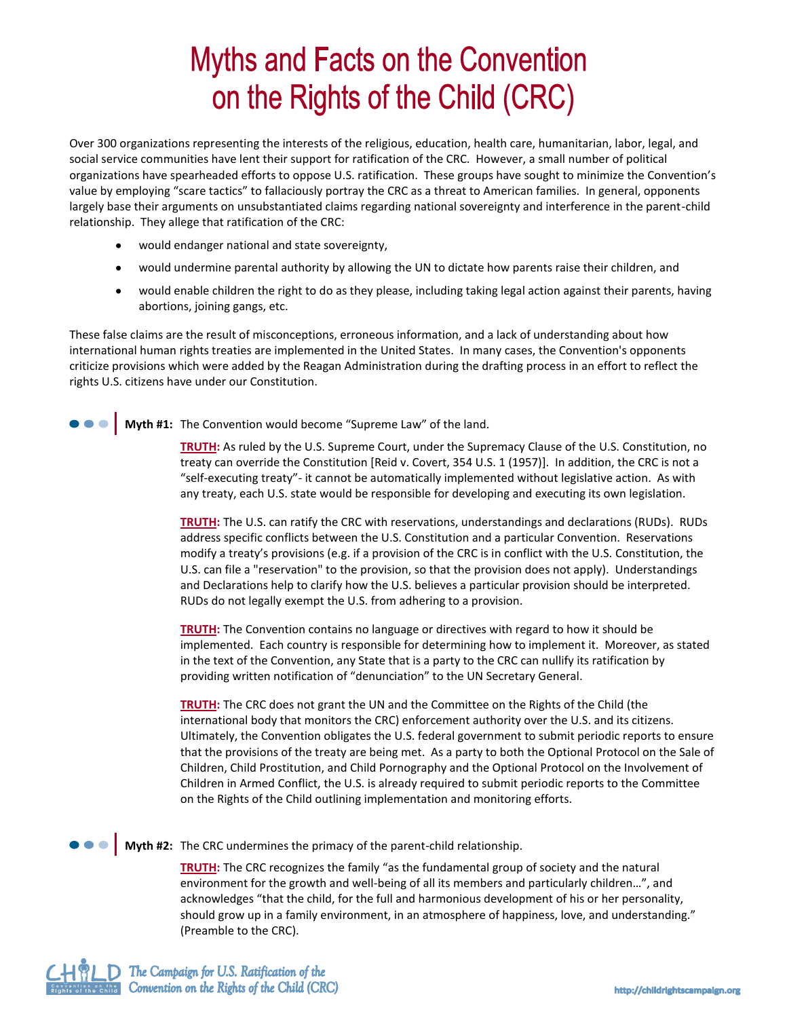## **Myths and Facts on the Convention** on the Rights of the Child (CRC)

Over 300 organizations representing the interests of the religious, education, health care, humanitarian, labor, legal, and social service communities have lent their support for ratification of the CRC. However, a small number of political organizations have spearheaded efforts to oppose U.S. ratification. These groups have sought to minimize the Convention's value by employing "scare tactics" to fallaciously portray the CRC as a threat to American families. In general, opponents largely base their arguments on unsubstantiated claims regarding national sovereignty and interference in the parent-child relationship. They allege that ratification of the CRC:

- $\bullet$ would endanger national and state sovereignty,
- $\bullet$ would undermine parental authority by allowing the UN to dictate how parents raise their children, and
- would enable children the right to do as they please, including taking legal action against their parents, having  $\bullet$ abortions, joining gangs, etc.

These false claims are the result of misconceptions, erroneous information, and a lack of understanding about how international human rights treaties are implemented in the United States. In many cases, the Convention's opponents criticize provisions which were added by the Reagan Administration during the drafting process in an effort to reflect the rights U.S. citizens have under our Constitution.

**Myth #1:** The Convention would become "Supreme Law" of the land.

**TRUTH:** As ruled by the U.S. Supreme Court, under the Supremacy Clause of the U.S. Constitution, no treaty can override the Constitution [Reid v. Covert, 354 U.S. 1 (1957)]. In addition, the CRC is not a "self-executing treaty"- it cannot be automatically implemented without legislative action. As with any treaty, each U.S. state would be responsible for developing and executing its own legislation.

**TRUTH:** The U.S. can ratify the CRC with reservations, understandings and declarations (RUDs). RUDs address specific conflicts between the U.S. Constitution and a particular Convention. Reservations modify a treaty's provisions (e.g. if a provision of the CRC is in conflict with the U.S. Constitution, the U.S. can file a "reservation" to the provision, so that the provision does not apply). Understandings and Declarations help to clarify how the U.S. believes a particular provision should be interpreted. RUDs do not legally exempt the U.S. from adhering to a provision.

**TRUTH:** The Convention contains no language or directives with regard to how it should be implemented. Each country is responsible for determining how to implement it. Moreover, as stated in the text of the Convention, any State that is a party to the CRC can nullify its ratification by providing written notification of "denunciation" to the UN Secretary General.

**TRUTH:** The CRC does not grant the UN and the Committee on the Rights of the Child (the international body that monitors the CRC) enforcement authority over the U.S. and its citizens. Ultimately, the Convention obligates the U.S. federal government to submit periodic reports to ensure that the provisions of the treaty are being met. As a party to both the Optional Protocol on the Sale of Children, Child Prostitution, and Child Pornography and the Optional Protocol on the Involvement of Children in Armed Conflict, the U.S. is already required to submit periodic reports to the Committee on the Rights of the Child outlining implementation and monitoring efforts.

**Myth #2:** The CRC undermines the primacy of the parent-child relationship.

**TRUTH:** The CRC recognizes the family "as the fundamental group of society and the natural environment for the growth and well-being of all its members and particularly children…", and acknowledges "that the child, for the full and harmonious development of his or her personality, should grow up in a family environment, in an atmosphere of happiness, love, and understanding." (Preamble to the CRC).

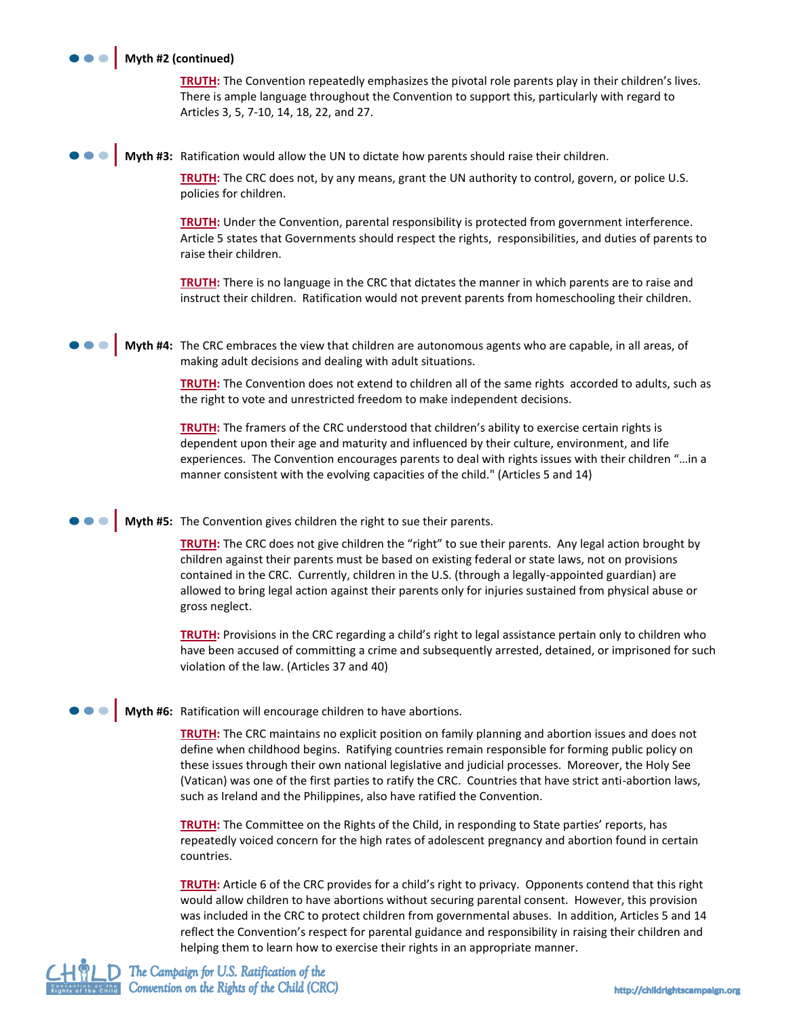## **Myth #2 (continued)**

**TRUTH:** The Convention repeatedly emphasizes the pivotal role parents play in their children's lives. There is ample language throughout the Convention to support this, particularly with regard to Articles 3, 5, 7-10, 14, 18, 22, and 27.

**Myth #3:** Ratification would allow the UN to dictate how parents should raise their children.

**TRUTH:** The CRC does not, by any means, grant the UN authority to control, govern, or police U.S. policies for children.

**TRUTH:** Under the Convention, parental responsibility is protected from government interference. Article 5 states that Governments should respect the rights, responsibilities, and duties of parents to raise their children.

**TRUTH:** There is no language in the CRC that dictates the manner in which parents are to raise and instruct their children. Ratification would not prevent parents from homeschooling their children.

**Myth #4:** The CRC embraces the view that children are autonomous agents who are capable, in all areas, of making adult decisions and dealing with adult situations.

> **TRUTH:** The Convention does not extend to children all of the same rights accorded to adults, such as the right to vote and unrestricted freedom to make independent decisions.

> **TRUTH:** The framers of the CRC understood that children's ability to exercise certain rights is dependent upon their age and maturity and influenced by their culture, environment, and life experiences. The Convention encourages parents to deal with rights issues with their children "…in a manner consistent with the evolving capacities of the child." (Articles 5 and 14)

**Myth #5:** The Convention gives children the right to sue their parents.

**TRUTH:** The CRC does not give children the "right" to sue their parents. Any legal action brought by children against their parents must be based on existing federal or state laws, not on provisions contained in the CRC. Currently, children in the U.S. (through a legally-appointed guardian) are allowed to bring legal action against their parents only for injuries sustained from physical abuse or gross neglect.

**TRUTH:** Provisions in the CRC regarding a child's right to legal assistance pertain only to children who have been accused of committing a crime and subsequently arrested, detained, or imprisoned for such violation of the law. (Articles 37 and 40)

**Myth #6:** Ratification will encourage children to have abortions.

**TRUTH:** The CRC maintains no explicit position on family planning and abortion issues and does not define when childhood begins. Ratifying countries remain responsible for forming public policy on these issues through their own national legislative and judicial processes. Moreover, the Holy See (Vatican) was one of the first parties to ratify the CRC. Countries that have strict anti-abortion laws, such as Ireland and the Philippines, also have ratified the Convention.

**TRUTH:** The Committee on the Rights of the Child, in responding to State parties' reports, has repeatedly voiced concern for the high rates of adolescent pregnancy and abortion found in certain countries.

**TRUTH:** Article 6 of the CRC provides for a child's right to privacy. Opponents contend that this right would allow children to have abortions without securing parental consent. However, this provision was included in the CRC to protect children from governmental abuses. In addition, Articles 5 and 14 reflect the Convention's respect for parental guidance and responsibility in raising their children and helping them to learn how to exercise their rights in an appropriate manner.